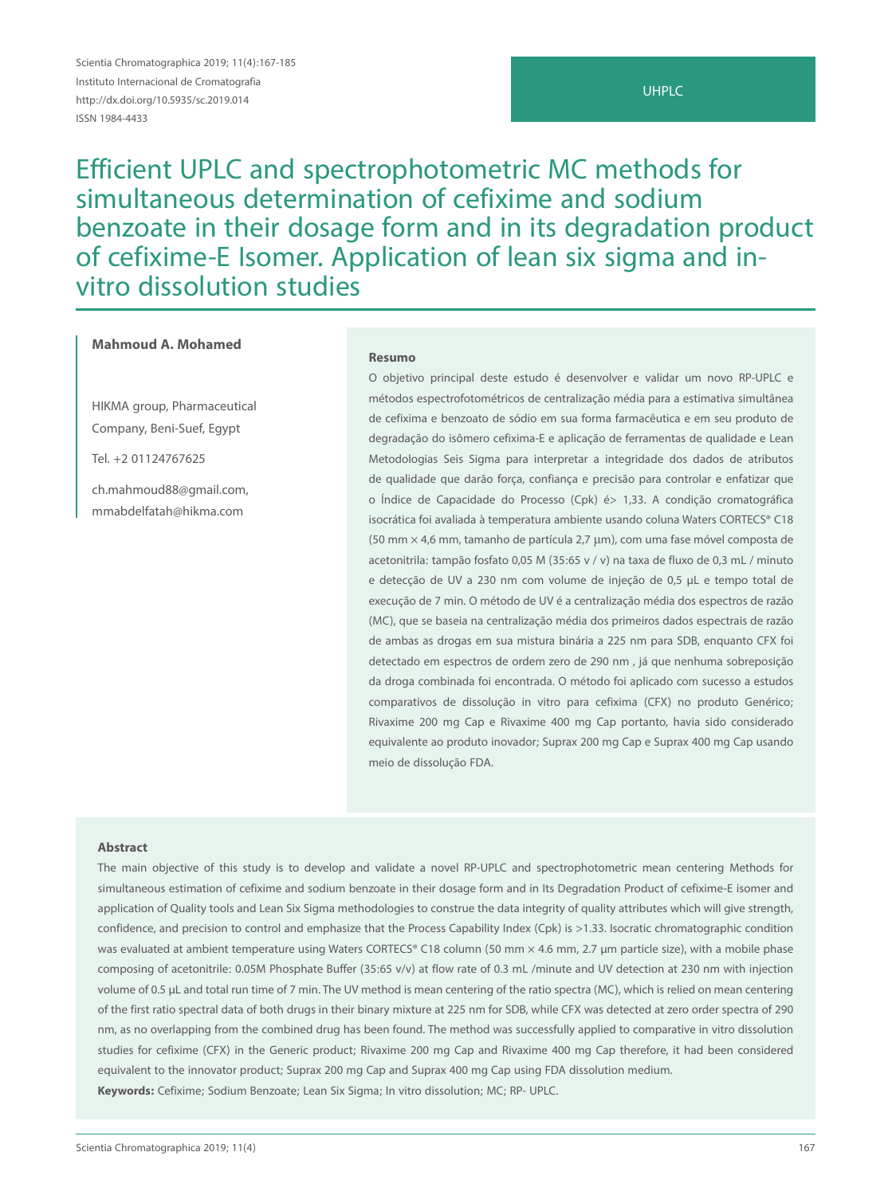Scientia Chromatographica 2019; 11(4):167-185 Instituto Internacional de Cromatografia http://dx.doi.org/10.5935/sc.2019.014 ISSN 1984-4433

# UHPLC

Efficient UPLC and spectrophotometric MC methods for simultaneous determination of cefixime and sodium benzoate in their dosage form and in its degradation product of cefixime-E Isomer. Application of lean six sigma and invitro dissolution studies

# **Mahmoud A. Mohamed**

HIKMA group, Pharmaceutical Company, Beni-Suef, Egypt

Tel. +2 01124767625

ch.mahmoud88@gmail.com, mmabdelfatah@hikma.com

#### **Resumo**

O objetivo principal deste estudo é desenvolver e validar um novo RP-UPLC e métodos espectrofotométricos de centralização média para a estimativa simultânea de cefixima e benzoato de sódio em sua forma farmacêutica e em seu produto de degradação do isômero cefixima-E e aplicação de ferramentas de qualidade e Lean Metodologias Seis Sigma para interpretar a integridade dos dados de atributos de qualidade que darão força, confiança e precisão para controlar e enfatizar que o Índice de Capacidade do Processo (Cpk) é> 1,33. A condição cromatográfica isocrática foi avaliada à temperatura ambiente usando coluna Waters CORTECS® C18 (50 mm × 4,6 mm, tamanho de partícula 2,7 μm), com uma fase móvel composta de acetonitrila: tampão fosfato 0,05 M (35:65 v / v) na taxa de fluxo de 0,3 mL / minuto e detecção de UV a 230 nm com volume de injeção de 0,5 µL e tempo total de execução de 7 min. O método de UV é a centralização média dos espectros de razão (MC), que se baseia na centralização média dos primeiros dados espectrais de razão de ambas as drogas em sua mistura binária a 225 nm para SDB, enquanto CFX foi detectado em espectros de ordem zero de 290 nm , já que nenhuma sobreposição da droga combinada foi encontrada. O método foi aplicado com sucesso a estudos comparativos de dissolução in vitro para cefixima (CFX) no produto Genérico; Rivaxime 200 mg Cap e Rivaxime 400 mg Cap portanto, havia sido considerado equivalente ao produto inovador; Suprax 200 mg Cap e Suprax 400 mg Cap usando meio de dissolução FDA.

#### **Abstract**

The main objective of this study is to develop and validate a novel RP-UPLC and spectrophotometric mean centering Methods for simultaneous estimation of cefixime and sodium benzoate in their dosage form and in Its Degradation Product of cefixime-E isomer and application of Quality tools and Lean Six Sigma methodologies to construe the data integrity of quality attributes which will give strength, confidence, and precision to control and emphasize that the Process Capability Index (Cpk) is >1.33. Isocratic chromatographic condition was evaluated at ambient temperature using Waters CORTECS® C18 column (50 mm × 4.6 mm, 2.7 µm particle size), with a mobile phase composing of acetonitrile: 0.05M Phosphate Buffer (35:65 v/v) at flow rate of 0.3 mL /minute and UV detection at 230 nm with injection volume of 0.5 µL and total run time of 7 min. The UV method is mean centering of the ratio spectra (MC), which is relied on mean centering of the first ratio spectral data of both drugs in their binary mixture at 225 nm for SDB, while CFX was detected at zero order spectra of 290 nm, as no overlapping from the combined drug has been found. The method was successfully applied to comparative in vitro dissolution studies for cefixime (CFX) in the Generic product; Rivaxime 200 mg Cap and Rivaxime 400 mg Cap therefore, it had been considered equivalent to the innovator product; Suprax 200 mg Cap and Suprax 400 mg Cap using FDA dissolution medium. **Keywords:** Cefixime; Sodium Benzoate; Lean Six Sigma; In vitro dissolution; MC; RP- UPLC.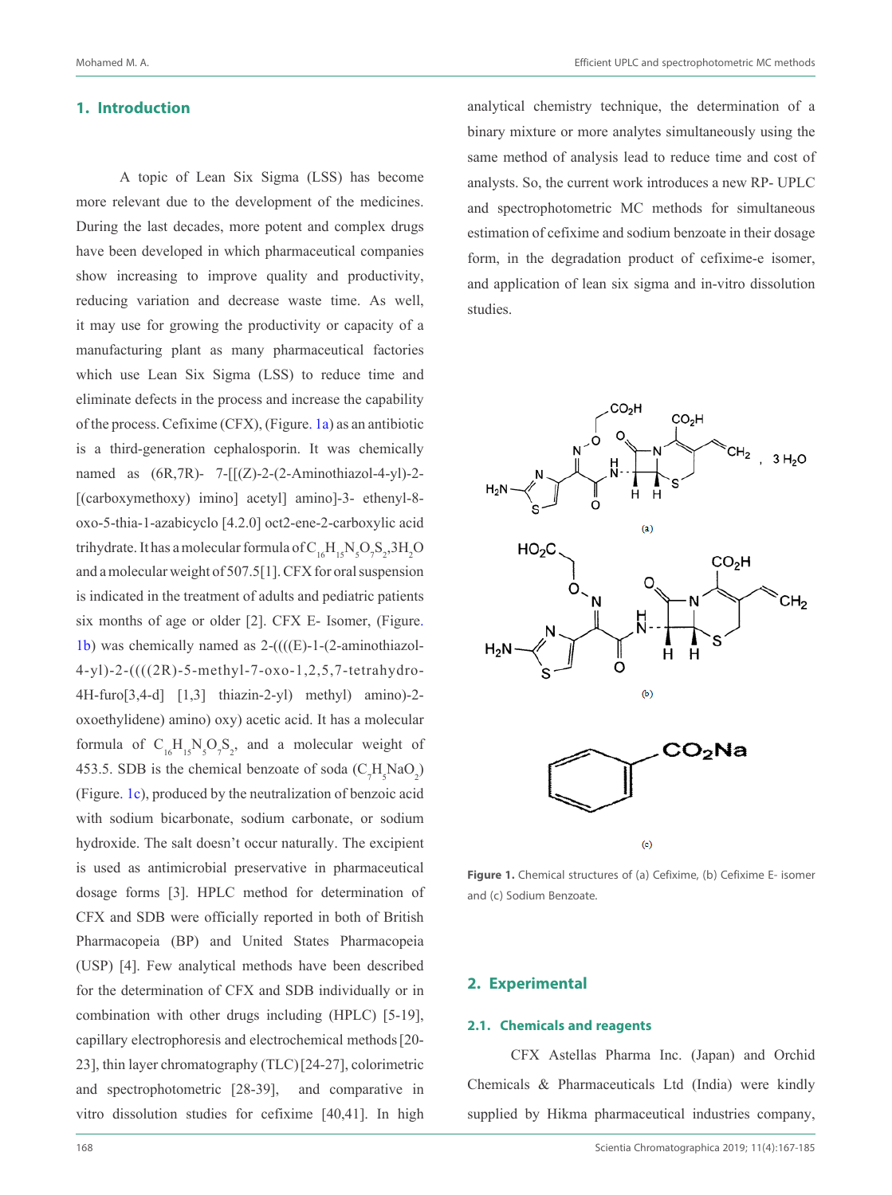## **1. Introduction**

A topic of Lean Six Sigma (LSS) has become more relevant due to the development of the medicines. During the last decades, more potent and complex drugs have been developed in which pharmaceutical companies show increasing to improve quality and productivity, reducing variation and decrease waste time. As well, it may use for growing the productivity or capacity of a manufacturing plant as many pharmaceutical factories which use Lean Six Sigma (LSS) to reduce time and eliminate defects in the process and increase the capability of the process. Cefixime (CFX), (Figure. 1a) as an antibiotic is a third-generation cephalosporin. It was chemically named as  $(6R, 7R)$ - 7- $[(Z)$ -2- $(2-Aminothiazol-4-yl)$ -2-[(carboxymethoxy) imino] acetyl] amino]-3- ethenyl-8oxo-5-thia-1-azabicyclo [4.2.0] oct2-ene-2-carboxylic acid trihydrate. It has a molecular formula of  $C_{16}H_{15}N_{5}O_{7}S_{2}$ ,  $3H_{2}O$ and a molecular weight of 507.5[1]. CFX for oral suspension is indicated in the treatment of adults and pediatric patients six months of age or older [2]. CFX E- Isomer, (Figure. 1b) was chemically named as  $2-(((E)-1-(2-aminothiazo1-1))$ 4-yl)-2-((((2R)-5-methyl-7-oxo-1,2,5,7-tetrahydro-4H-furo[3,4-d] [1,3] thiazin-2-yl) methyl) amino)-2 oxoethylidene) amino) oxy) acetic acid. It has a molecular formula of  $C_{16}H_{15}N_5O_7S_2$ , and a molecular weight of 453.5. SDB is the chemical benzoate of soda  $(C_7H_5NaO_2)$ (Figure. 1c), produced by the neutralization of benzoic acid with sodium bicarbonate, sodium carbonate, or sodium hydroxide. The salt doesn't occur naturally. The excipient is used as antimicrobial preservative in pharmaceutical dosage forms [3]. HPLC method for determination of CFX and SDB were officially reported in both of British Pharmacopeia (BP) and United States Pharmacopeia (USP) [4]. Few analytical methods have been described for the determination of CFX and SDB individually or in combination with other drugs including (HPLC) [5-19], capillary electrophoresis and electrochemical methods[20- 23], thin layer chromatography (TLC)[24-27], colorimetric and spectrophotometric [28-39], and comparative in vitro dissolution studies for cefixime [40,41]. In high

analytical chemistry technique, the determination of a binary mixture or more analytes simultaneously using the same method of analysis lead to reduce time and cost of analysts. So, the current work introduces a new RP- UPLC and spectrophotometric MC methods for simultaneous estimation of cefixime and sodium benzoate in their dosage form, in the degradation product of cefixime-e isomer, and application of lean six sigma and in-vitro dissolution studies.



**Figure 1.** Chemical structures of (a) Cefixime, (b) Cefixime E- isomer and (c) Sodium Benzoate.

### **2. Experimental**

# **2.1. Chemicals and reagents**

CFX Astellas Pharma Inc. (Japan) and Orchid Chemicals & Pharmaceuticals Ltd (India) were kindly supplied by Hikma pharmaceutical industries company,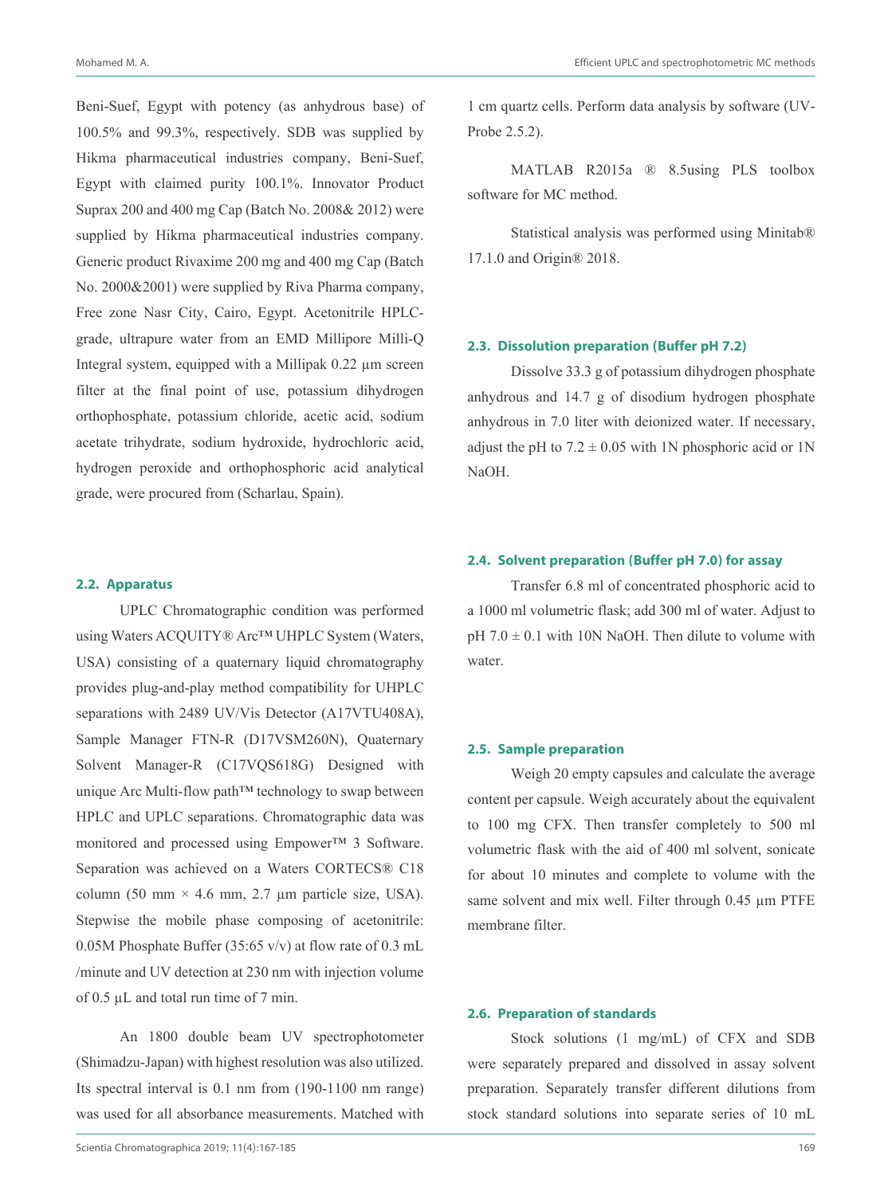Beni-Suef, Egypt with potency (as anhydrous base) of 100.5% and 99.3%, respectively. SDB was supplied by Hikma pharmaceutical industries company, Beni-Suef, Egypt with claimed purity 100.1%. Innovator Product Suprax 200 and 400 mg Cap (Batch No. 2008& 2012) were supplied by Hikma pharmaceutical industries company. Generic product Rivaxime 200 mg and 400 mg Cap (Batch No. 2000&2001) were supplied by Riva Pharma company, Free zone Nasr City, Cairo, Egypt. Acetonitrile HPLCgrade, ultrapure water from an EMD Millipore Milli-Q Integral system, equipped with a Millipak 0.22 µm screen filter at the final point of use, potassium dihydrogen orthophosphate, potassium chloride, acetic acid, sodium acetate trihydrate, sodium hydroxide, hydrochloric acid, hydrogen peroxide and orthophosphoric acid analytical grade, were procured from (Scharlau, Spain).

## **2.2. Apparatus**

UPLC Chromatographic condition was performed using Waters ACQUITY® Arc™ UHPLC System (Waters, USA) consisting of a quaternary liquid chromatography provides plug-and-play method compatibility for UHPLC separations with 2489 UV/Vis Detector (A17VTU408A), Sample Manager FTN-R (D17VSM260N), Quaternary Solvent Manager-R (C17VQS618G) Designed with unique Arc Multi-flow path™ technology to swap between HPLC and UPLC separations. Chromatographic data was monitored and processed using Empower™ 3 Software. Separation was achieved on a Waters CORTECS® C18 column (50 mm  $\times$  4.6 mm, 2.7 µm particle size, USA). Stepwise the mobile phase composing of acetonitrile: 0.05M Phosphate Buffer (35:65 v/v) at flow rate of 0.3 mL /minute and UV detection at 230 nm with injection volume of 0.5 µL and total run time of 7 min.

An 1800 double beam UV spectrophotometer (Shimadzu-Japan) with highest resolution was also utilized. Its spectral interval is 0.1 nm from (190-1100 nm range) was used for all absorbance measurements. Matched with

1 cm quartz cells. Perform data analysis by software (UV-Probe 2.5.2).

MATLAB R2015a ® 8.5using PLS toolbox software for MC method.

Statistical analysis was performed using Minitab® 17.1.0 and Origin® 2018.

#### **2.3. Dissolution preparation (Buffer pH 7.2)**

Dissolve 33.3 g of potassium dihydrogen phosphate anhydrous and 14.7 g of disodium hydrogen phosphate anhydrous in 7.0 liter with deionized water. If necessary, adjust the pH to  $7.2 \pm 0.05$  with 1N phosphoric acid or 1N NaOH.

# **2.4. Solvent preparation (Buffer pH 7.0) for assay**

Transfer 6.8 ml of concentrated phosphoric acid to a 1000 ml volumetric flask; add 300 ml of water. Adjust to  $pH 7.0 \pm 0.1$  with 10N NaOH. Then dilute to volume with water.

#### **2.5. Sample preparation**

Weigh 20 empty capsules and calculate the average content per capsule. Weigh accurately about the equivalent to 100 mg CFX. Then transfer completely to 500 ml volumetric flask with the aid of 400 ml solvent, sonicate for about 10 minutes and complete to volume with the same solvent and mix well. Filter through 0.45  $\mu$ m PTFE membrane filter.

#### **2.6. Preparation of standards**

Stock solutions (1 mg/mL) of CFX and SDB were separately prepared and dissolved in assay solvent preparation. Separately transfer different dilutions from stock standard solutions into separate series of 10 mL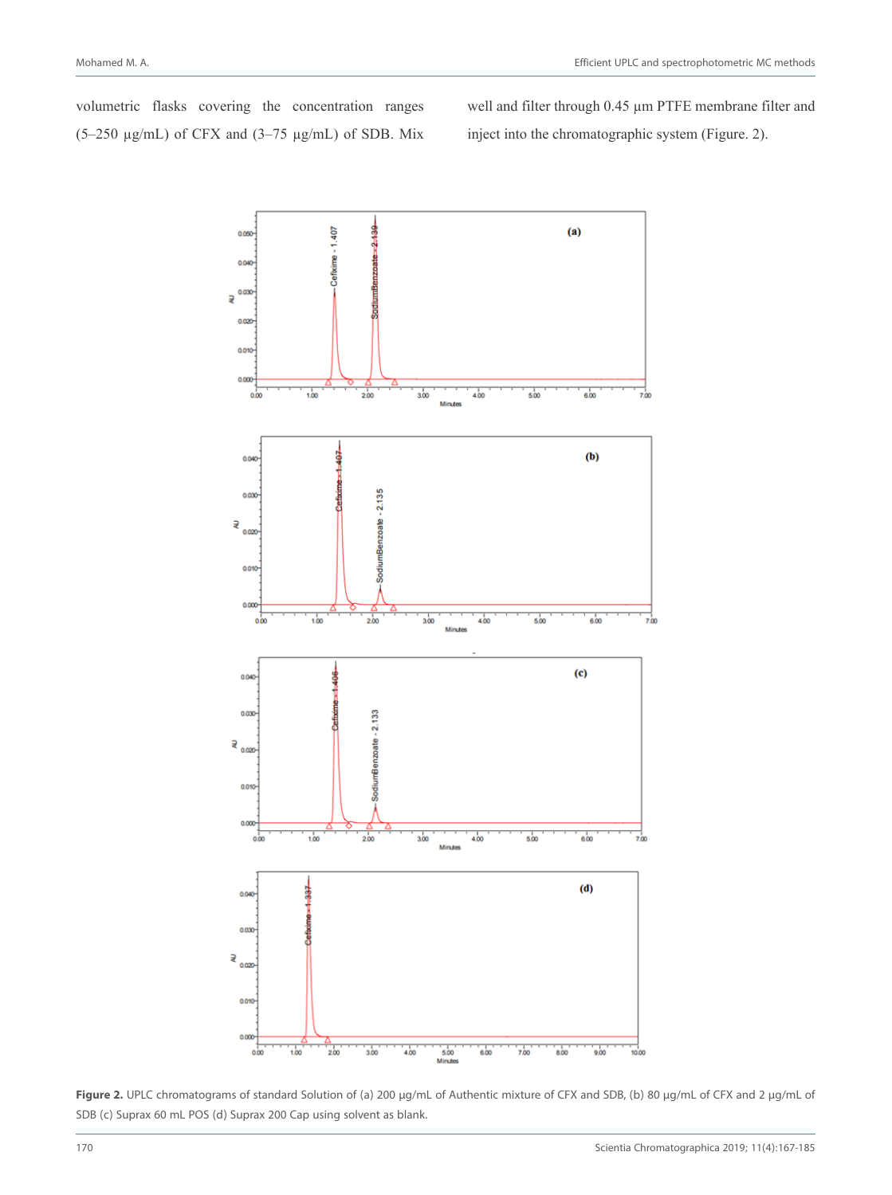volumetric flasks covering the concentration ranges  $(5-250 \text{ µg/mL})$  of CFX and  $(3-75 \text{ µg/mL})$  of SDB. Mix well and filter through 0.45  $\mu$ m PTFE membrane filter and inject into the chromatographic system (Figure. 2).



Figure 2. UPLC chromatograms of standard Solution of (a) 200 µg/mL of Authentic mixture of CFX and SDB, (b) 80 µg/mL of CFX and 2 µg/mL of SDB (c) Suprax 60 mL POS (d) Suprax 200 Cap using solvent as blank.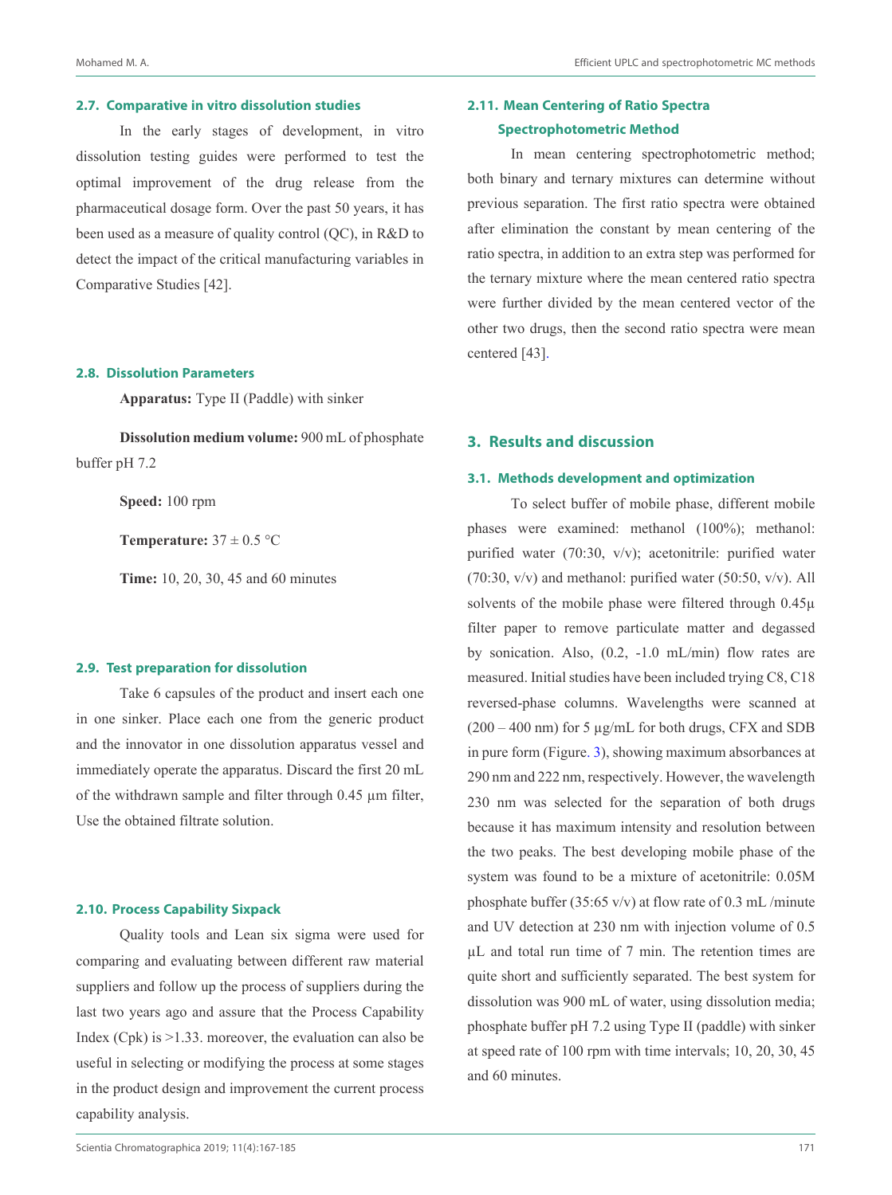#### **2.7. Comparative in vitro dissolution studies**

In the early stages of development, in vitro dissolution testing guides were performed to test the optimal improvement of the drug release from the pharmaceutical dosage form. Over the past 50 years, it has been used as a measure of quality control (QC), in R&D to detect the impact of the critical manufacturing variables in Comparative Studies [42].

## **2.8. Dissolution Parameters**

**Apparatus:** Type II (Paddle) with sinker

**Dissolution medium volume:** 900 mL of phosphate buffer pH 7.2

**Speed:** 100 rpm

**Temperature:**  $37 \pm 0.5$  °C

**Time:** 10, 20, 30, 45 and 60 minutes

#### **2.9. Test preparation for dissolution**

Take 6 capsules of the product and insert each one in one sinker. Place each one from the generic product and the innovator in one dissolution apparatus vessel and immediately operate the apparatus. Discard the first 20 mL of the withdrawn sample and filter through 0.45 µm filter, Use the obtained filtrate solution.

#### **2.10. Process Capability Sixpack**

Quality tools and Lean six sigma were used for comparing and evaluating between different raw material suppliers and follow up the process of suppliers during the last two years ago and assure that the Process Capability Index (Cpk) is >1.33. moreover, the evaluation can also be useful in selecting or modifying the process at some stages in the product design and improvement the current process capability analysis.

# **2.11. Mean Centering of Ratio Spectra Spectrophotometric Method**

In mean centering spectrophotometric method; both binary and ternary mixtures can determine without previous separation. The first ratio spectra were obtained after elimination the constant by mean centering of the ratio spectra, in addition to an extra step was performed for the ternary mixture where the mean centered ratio spectra were further divided by the mean centered vector of the other two drugs, then the second ratio spectra were mean centered [43].

# **3. Results and discussion**

# **3.1. Methods development and optimization**

To select buffer of mobile phase, different mobile phases were examined: methanol (100%); methanol: purified water (70:30, v/v); acetonitrile: purified water  $(70:30, v/v)$  and methanol: purified water  $(50:50, v/v)$ . All solvents of the mobile phase were filtered through  $0.45\mu$ filter paper to remove particulate matter and degassed by sonication. Also, (0.2, -1.0 mL/min) flow rates are measured. Initial studies have been included trying C8, C18 reversed-phase columns. Wavelengths were scanned at  $(200 - 400 \text{ nm})$  for 5  $\mu$ g/mL for both drugs, CFX and SDB in pure form (Figure. 3), showing maximum absorbances at 290 nm and 222 nm, respectively. However, the wavelength 230 nm was selected for the separation of both drugs because it has maximum intensity and resolution between the two peaks. The best developing mobile phase of the system was found to be a mixture of acetonitrile: 0.05M phosphate buffer (35:65 v/v) at flow rate of 0.3 mL /minute and UV detection at 230 nm with injection volume of 0.5 µL and total run time of 7 min. The retention times are quite short and sufficiently separated. The best system for dissolution was 900 mL of water, using dissolution media; phosphate buffer pH 7.2 using Type II (paddle) with sinker at speed rate of 100 rpm with time intervals; 10, 20, 30, 45 and 60 minutes.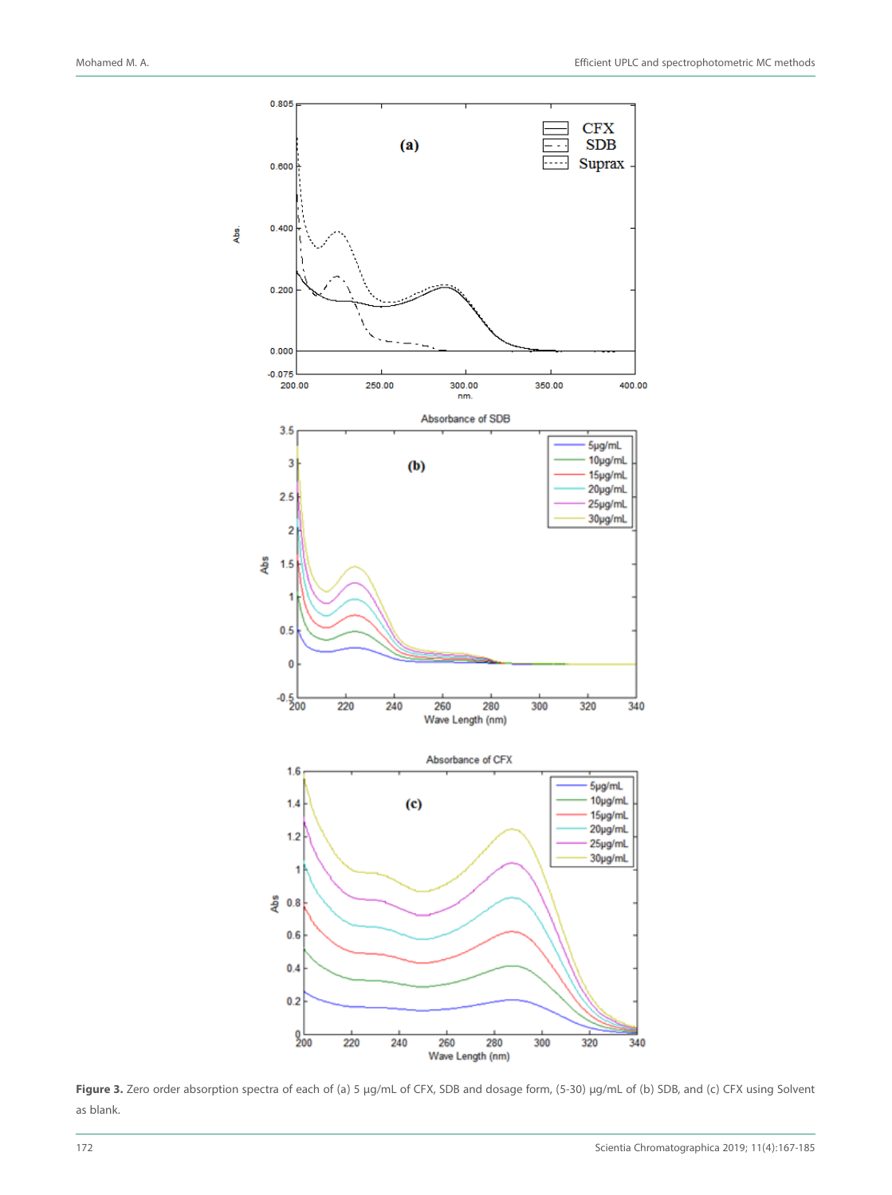

**Figure 3.** Zero order absorption spectra of each of (a) 5 µg/mL of CFX, SDB and dosage form, (5-30) µg/mL of (b) SDB, and (c) CFX using Solvent as blank.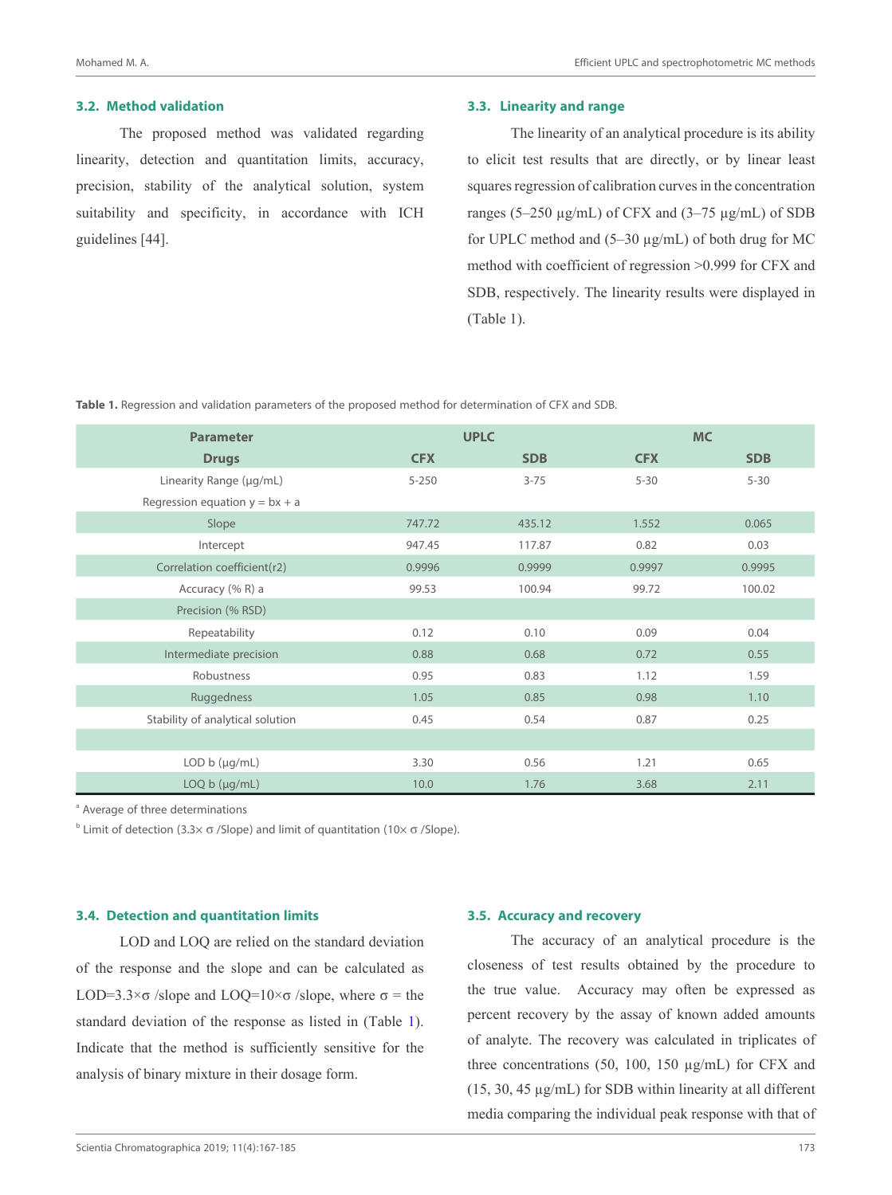#### **3.2. Method validation**

The proposed method was validated regarding linearity, detection and quantitation limits, accuracy, precision, stability of the analytical solution, system suitability and specificity, in accordance with ICH guidelines [44].

#### **3.3. Linearity and range**

The linearity of an analytical procedure is its ability to elicit test results that are directly, or by linear least squares regression of calibration curves in the concentration ranges (5–250  $\mu$ g/mL) of CFX and (3–75  $\mu$ g/mL) of SDB for UPLC method and (5–30 µg/mL) of both drug for MC method with coefficient of regression >0.999 for CFX and SDB, respectively. The linearity results were displayed in (Table 1).

**Table 1.** Regression and validation parameters of the proposed method for determination of CFX and SDB.

| <b>Parameter</b>                 |            | <b>UPLC</b> |            | <b>MC</b>  |
|----------------------------------|------------|-------------|------------|------------|
| <b>Drugs</b>                     | <b>CFX</b> | <b>SDB</b>  | <b>CFX</b> | <b>SDB</b> |
| Linearity Range (µg/mL)          | $5 - 250$  | $3 - 75$    | $5 - 30$   | $5 - 30$   |
| Regression equation $y = bx + a$ |            |             |            |            |
| Slope                            | 747.72     | 435.12      | 1.552      | 0.065      |
| Intercept                        | 947.45     | 117.87      | 0.82       | 0.03       |
| Correlation coefficient(r2)      | 0.9996     | 0.9999      | 0.9997     | 0.9995     |
| Accuracy (% R) a                 | 99.53      | 100.94      | 99.72      | 100.02     |
| Precision (% RSD)                |            |             |            |            |
| Repeatability                    | 0.12       | 0.10        | 0.09       | 0.04       |
| Intermediate precision           | 0.88       | 0.68        | 0.72       | 0.55       |
| Robustness                       | 0.95       | 0.83        | 1.12       | 1.59       |
| Ruggedness                       | 1.05       | 0.85        | 0.98       | 1.10       |
| Stability of analytical solution | 0.45       | 0.54        | 0.87       | 0.25       |
|                                  |            |             |            |            |
| LOD $b$ ( $\mu$ g/mL)            | 3.30       | 0.56        | 1.21       | 0.65       |
| LOQ b (µg/mL)                    | 10.0       | 1.76        | 3.68       | 2.11       |

<sup>a</sup> Average of three determinations

<sup>b</sup> Limit of detection (3.3× σ /Slope) and limit of quantitation (10× σ /Slope).

#### **3.4. Detection and quantitation limits**

LOD and LOQ are relied on the standard deviation of the response and the slope and can be calculated as LOD=3.3 $\times \sigma$  /slope and LOQ=10 $\times \sigma$  /slope, where  $\sigma$  = the standard deviation of the response as listed in (Table 1). Indicate that the method is sufficiently sensitive for the analysis of binary mixture in their dosage form.

#### **3.5. Accuracy and recovery**

The accuracy of an analytical procedure is the closeness of test results obtained by the procedure to the true value. Accuracy may often be expressed as percent recovery by the assay of known added amounts of analyte. The recovery was calculated in triplicates of three concentrations (50, 100, 150 µg/mL) for CFX and (15, 30, 45  $\mu$ g/mL) for SDB within linearity at all different media comparing the individual peak response with that of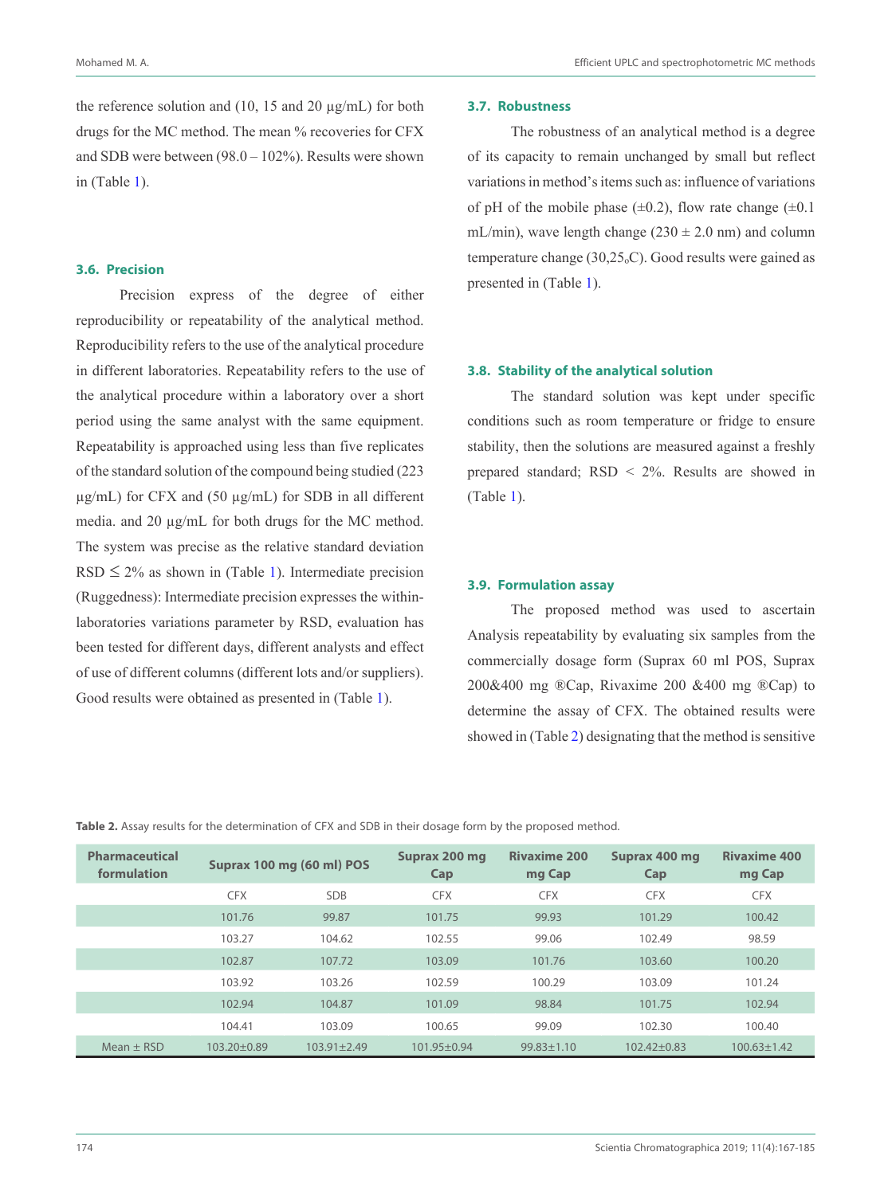the reference solution and  $(10, 15 \text{ and } 20 \text{ µg/mL})$  for both drugs for the MC method. The mean % recoveries for CFX and SDB were between (98.0 – 102%). Results were shown in (Table 1).

## **3.6. Precision**

Precision express of the degree of either reproducibility or repeatability of the analytical method. Reproducibility refers to the use of the analytical procedure in different laboratories. Repeatability refers to the use of the analytical procedure within a laboratory over a short period using the same analyst with the same equipment. Repeatability is approached using less than five replicates of the standard solution of the compound being studied (223  $\mu$ g/mL) for CFX and (50  $\mu$ g/mL) for SDB in all different media. and 20 µg/mL for both drugs for the MC method. The system was precise as the relative standard deviation  $RSD \leq 2\%$  as shown in (Table 1). Intermediate precision (Ruggedness): Intermediate precision expresses the withinlaboratories variations parameter by RSD, evaluation has been tested for different days, different analysts and effect of use of different columns (different lots and/or suppliers). Good results were obtained as presented in (Table 1).

#### **3.7. Robustness**

The robustness of an analytical method is a degree of its capacity to remain unchanged by small but reflect variations in method's items such as: influence of variations of pH of the mobile phase  $(\pm 0.2)$ , flow rate change  $(\pm 0.1)$ mL/min), wave length change ( $230 \pm 2.0$  nm) and column temperature change  $(30,25<sub>o</sub>C)$ . Good results were gained as presented in (Table 1).

#### **3.8. Stability of the analytical solution**

The standard solution was kept under specific conditions such as room temperature or fridge to ensure stability, then the solutions are measured against a freshly prepared standard; RSD < 2%. Results are showed in (Table 1).

### **3.9. Formulation assay**

The proposed method was used to ascertain Analysis repeatability by evaluating six samples from the commercially dosage form (Suprax 60 ml POS, Suprax 200&400 mg ®Cap, Rivaxime 200 &400 mg ®Cap) to determine the assay of CFX. The obtained results were showed in (Table 2) designating that the method is sensitive

**Table 2.** Assay results for the determination of CFX and SDB in their dosage form by the proposed method.

| Pharmaceutical<br>formulation |             | Suprax 100 mg (60 ml) POS | Suprax 200 mg<br>Cap | <b>Rivaxime 200</b><br>mg Cap | Suprax 400 mg<br>Cap | <b>Rivaxime 400</b><br>mg Cap |
|-------------------------------|-------------|---------------------------|----------------------|-------------------------------|----------------------|-------------------------------|
|                               | <b>CFX</b>  | <b>SDB</b>                | <b>CFX</b>           | <b>CFX</b>                    | <b>CFX</b>           | <b>CFX</b>                    |
|                               | 101.76      | 99.87                     | 101.75               | 99.93                         | 101.29               | 100.42                        |
|                               | 103.27      | 104.62                    | 102.55               | 99.06                         | 102.49               | 98.59                         |
|                               | 102.87      | 107.72                    | 103.09               | 101.76                        | 103.60               | 100.20                        |
|                               | 103.92      | 103.26                    | 102.59               | 100.29                        | 103.09               | 101.24                        |
|                               | 102.94      | 104.87                    | 101.09               | 98.84                         | 101.75               | 102.94                        |
|                               | 104.41      | 103.09                    | 100.65               | 99.09                         | 102.30               | 100.40                        |
| Mean $\pm$ RSD                | 103.20±0.89 | $103.91 \pm 2.49$         | $101.95 + 0.94$      | $99.83 \pm 1.10$              | $102.42 + 0.83$      | $100.63 \pm 1.42$             |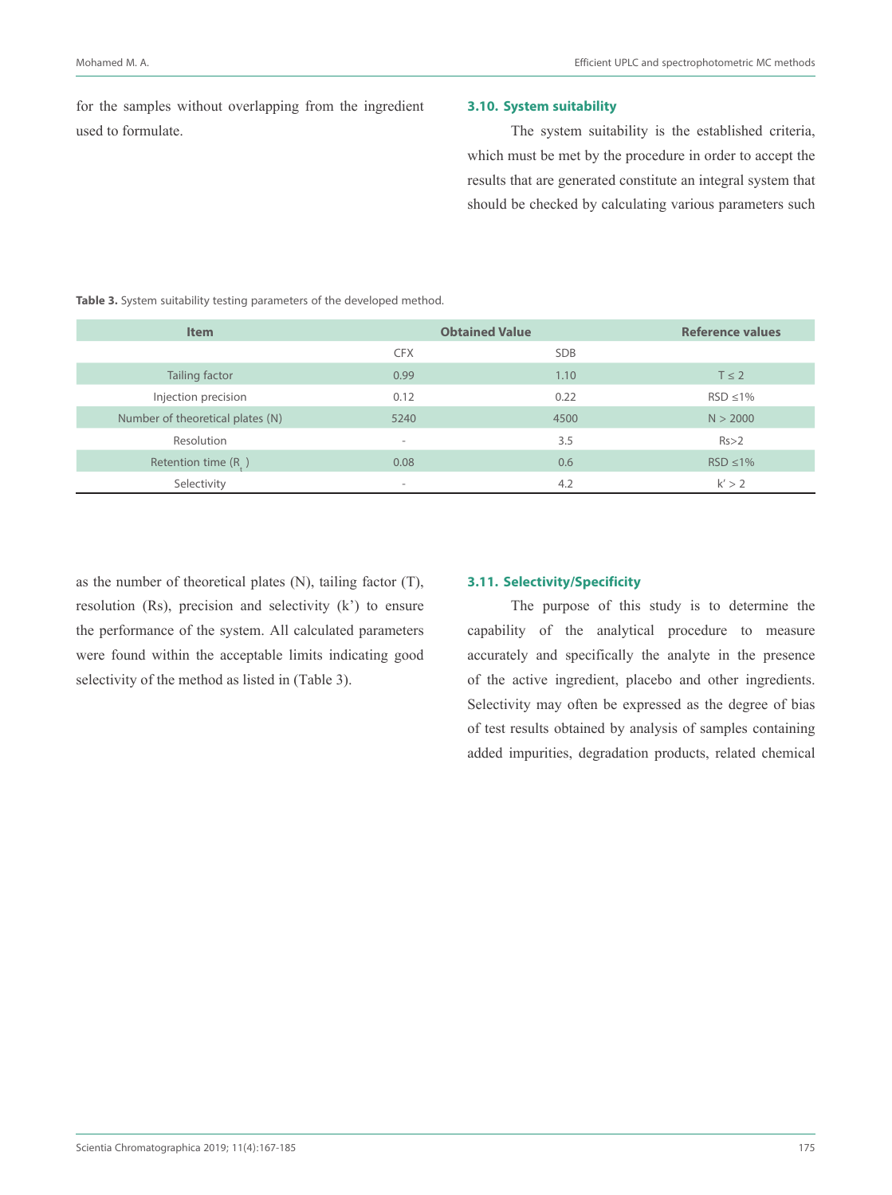for the samples without overlapping from the ingredient used to formulate.

## **3.10. System suitability**

The system suitability is the established criteria, which must be met by the procedure in order to accept the results that are generated constitute an integral system that should be checked by calculating various parameters such

## **Table 3.** System suitability testing parameters of the developed method.

| <b>Item</b>                      | <b>Obtained Value</b>    |            | <b>Reference values</b> |
|----------------------------------|--------------------------|------------|-------------------------|
|                                  | <b>CFX</b>               | <b>SDB</b> |                         |
| Tailing factor                   | 0.99                     | 1.10       | $T \leq 2$              |
| Injection precision              | 0.12                     | 0.22       | $RSD \le 1\%$           |
| Number of theoretical plates (N) | 5240                     | 4500       | N > 2000                |
| Resolution                       | $\overline{\phantom{a}}$ | 3.5        | Rs > 2                  |
| Retention time $(R_1)$           | 0.08                     | 0.6        | $RSD \leq 1\%$          |
| Selectivity                      | $\overline{\phantom{a}}$ | 4.2        | k' > 2                  |

as the number of theoretical plates (N), tailing factor (T), resolution (Rs), precision and selectivity (k') to ensure the performance of the system. All calculated parameters were found within the acceptable limits indicating good selectivity of the method as listed in (Table 3).

## **3.11. Selectivity/Specificity**

The purpose of this study is to determine the capability of the analytical procedure to measure accurately and specifically the analyte in the presence of the active ingredient, placebo and other ingredients. Selectivity may often be expressed as the degree of bias of test results obtained by analysis of samples containing added impurities, degradation products, related chemical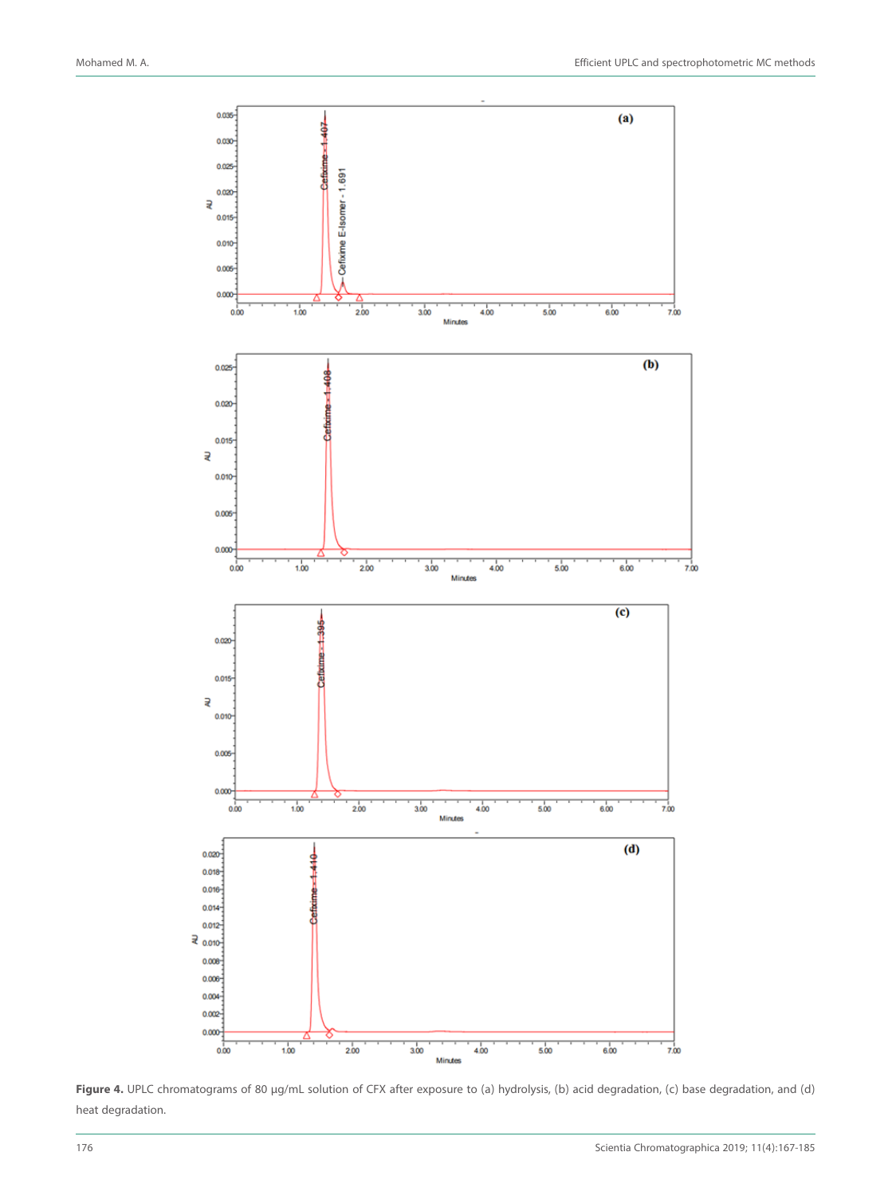

Figure 4. UPLC chromatograms of 80 µg/mL solution of CFX after exposure to (a) hydrolysis, (b) acid degradation, (c) base degradation, and (d) heat degradation.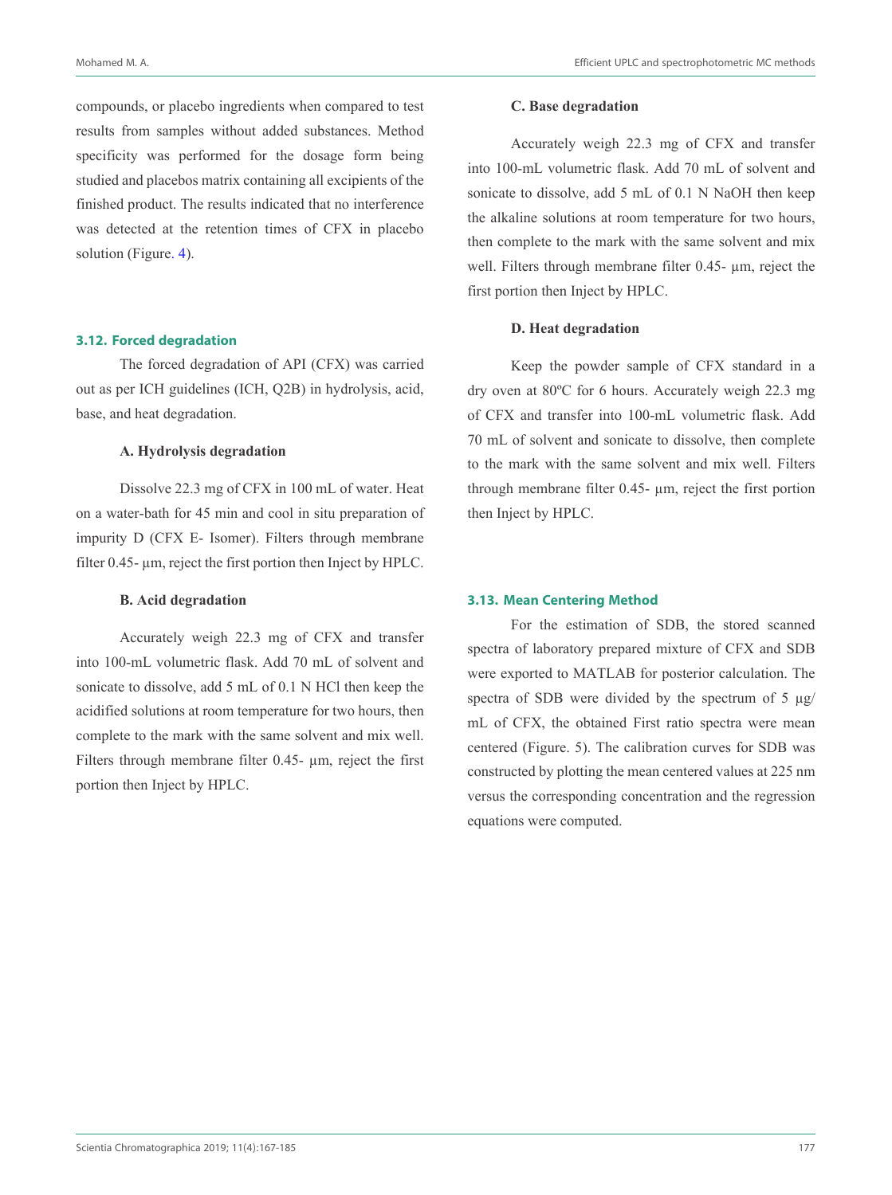compounds, or placebo ingredients when compared to test results from samples without added substances. Method specificity was performed for the dosage form being studied and placebos matrix containing all excipients of the finished product. The results indicated that no interference was detected at the retention times of CFX in placebo solution (Figure. 4).

#### **3.12. Forced degradation**

The forced degradation of API (CFX) was carried out as per ICH guidelines (ICH, Q2B) in hydrolysis, acid, base, and heat degradation.

#### **A. Hydrolysis degradation**

Dissolve 22.3 mg of CFX in 100 mL of water. Heat on a water-bath for 45 min and cool in situ preparation of impurity D (CFX E- Isomer). Filters through membrane filter 0.45- µm, reject the first portion then Inject by HPLC.

## **B. Acid degradation**

Accurately weigh 22.3 mg of CFX and transfer into 100-mL volumetric flask. Add 70 mL of solvent and sonicate to dissolve, add 5 mL of 0.1 N HCl then keep the acidified solutions at room temperature for two hours, then complete to the mark with the same solvent and mix well. Filters through membrane filter  $0.45$ -  $\mu$ m, reject the first portion then Inject by HPLC.

## **C. Base degradation**

Accurately weigh 22.3 mg of CFX and transfer into 100-mL volumetric flask. Add 70 mL of solvent and sonicate to dissolve, add 5 mL of 0.1 N NaOH then keep the alkaline solutions at room temperature for two hours, then complete to the mark with the same solvent and mix well. Filters through membrane filter 0.45-  $\mu$ m, reject the first portion then Inject by HPLC.

# **D. Heat degradation**

Keep the powder sample of CFX standard in a dry oven at 80ºC for 6 hours. Accurately weigh 22.3 mg of CFX and transfer into 100-mL volumetric flask. Add 70 mL of solvent and sonicate to dissolve, then complete to the mark with the same solvent and mix well. Filters through membrane filter 0.45- µm, reject the first portion then Inject by HPLC.

## **3.13. Mean Centering Method**

For the estimation of SDB, the stored scanned spectra of laboratory prepared mixture of CFX and SDB were exported to MATLAB for posterior calculation. The spectra of SDB were divided by the spectrum of  $5 \mu g$ / mL of CFX, the obtained First ratio spectra were mean centered (Figure. 5). The calibration curves for SDB was constructed by plotting the mean centered values at 225 nm versus the corresponding concentration and the regression equations were computed.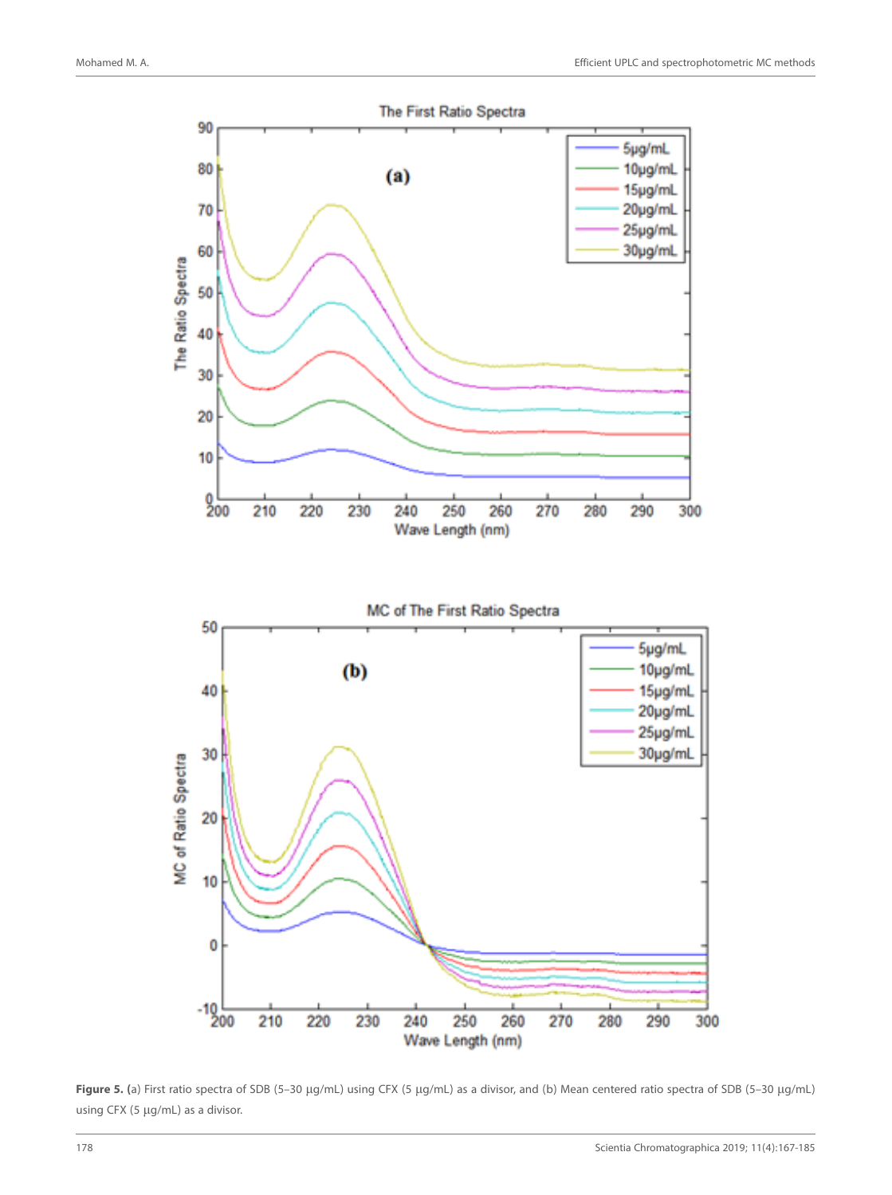

**Figure 5. (**a) First ratio spectra of SDB (5–30 μg/mL) using CFX (5 μg/mL) as a divisor, and (b) Mean centered ratio spectra of SDB (5–30 μg/mL) using CFX (5 μg/mL) as a divisor.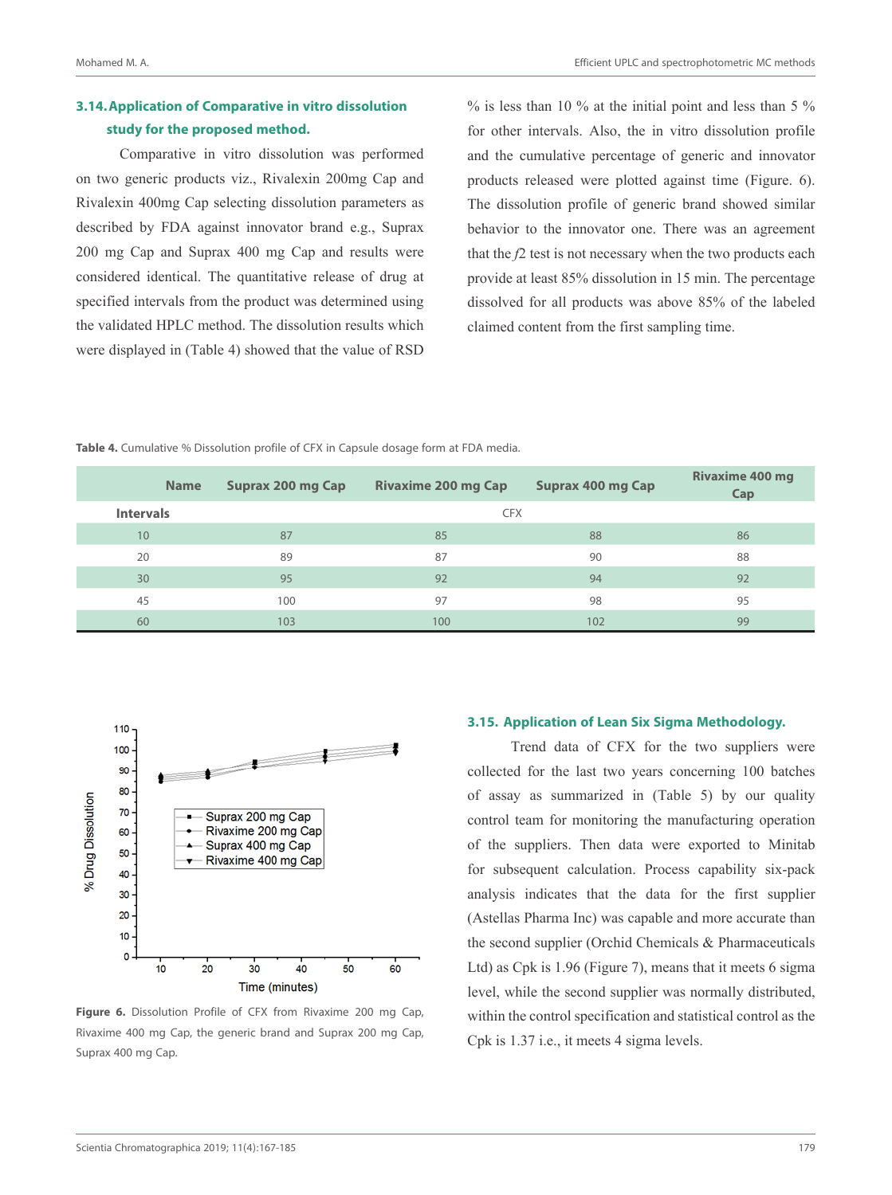# **3.14.Application of Comparative in vitro dissolution study for the proposed method.**

Comparative in vitro dissolution was performed on two generic products viz., Rivalexin 200mg Cap and Rivalexin 400mg Cap selecting dissolution parameters as described by FDA against innovator brand e.g., Suprax 200 mg Cap and Suprax 400 mg Cap and results were considered identical. The quantitative release of drug at specified intervals from the product was determined using the validated HPLC method. The dissolution results which were displayed in (Table 4) showed that the value of RSD  $\%$  is less than 10  $\%$  at the initial point and less than 5  $\%$ for other intervals. Also, the in vitro dissolution profile and the cumulative percentage of generic and innovator products released were plotted against time (Figure. 6). The dissolution profile of generic brand showed similar behavior to the innovator one. There was an agreement that the *f*2 test is not necessary when the two products each provide at least 85% dissolution in 15 min. The percentage dissolved for all products was above 85% of the labeled claimed content from the first sampling time.

**Table 4.** Cumulative % Dissolution profile of CFX in Capsule dosage form at FDA media.

| <b>Name</b>      | Suprax 200 mg Cap | <b>Rivaxime 200 mg Cap</b> | Suprax 400 mg Cap | <b>Rivaxime 400 mg</b><br>Cap |
|------------------|-------------------|----------------------------|-------------------|-------------------------------|
| <b>Intervals</b> |                   | <b>CFX</b>                 |                   |                               |
| 10               | 87                | 85                         | 88                | 86                            |
| 20               | 89                | 87                         | 90                | 88                            |
| 30               | 95                | 92                         | 94                | 92                            |
| 45               | 100               | 97                         | 98                | 95                            |
| 60               | 103               | 100                        | 102               | 99                            |



Figure 6. Dissolution Profile of CFX from Rivaxime 200 mg Cap, Rivaxime 400 mg Cap, the generic brand and Suprax 200 mg Cap, Suprax 400 mg Cap.

## **3.15. Application of Lean Six Sigma Methodology.**

Trend data of CFX for the two suppliers were collected for the last two years concerning 100 batches of assay as summarized in (Table 5) by our quality control team for monitoring the manufacturing operation of the suppliers. Then data were exported to Minitab for subsequent calculation. Process capability six-pack analysis indicates that the data for the first supplier (Astellas Pharma Inc) was capable and more accurate than the second supplier (Orchid Chemicals & Pharmaceuticals Ltd) as Cpk is 1.96 (Figure 7), means that it meets 6 sigma level, while the second supplier was normally distributed, within the control specification and statistical control as the Cpk is 1.37 i.e., it meets 4 sigma levels.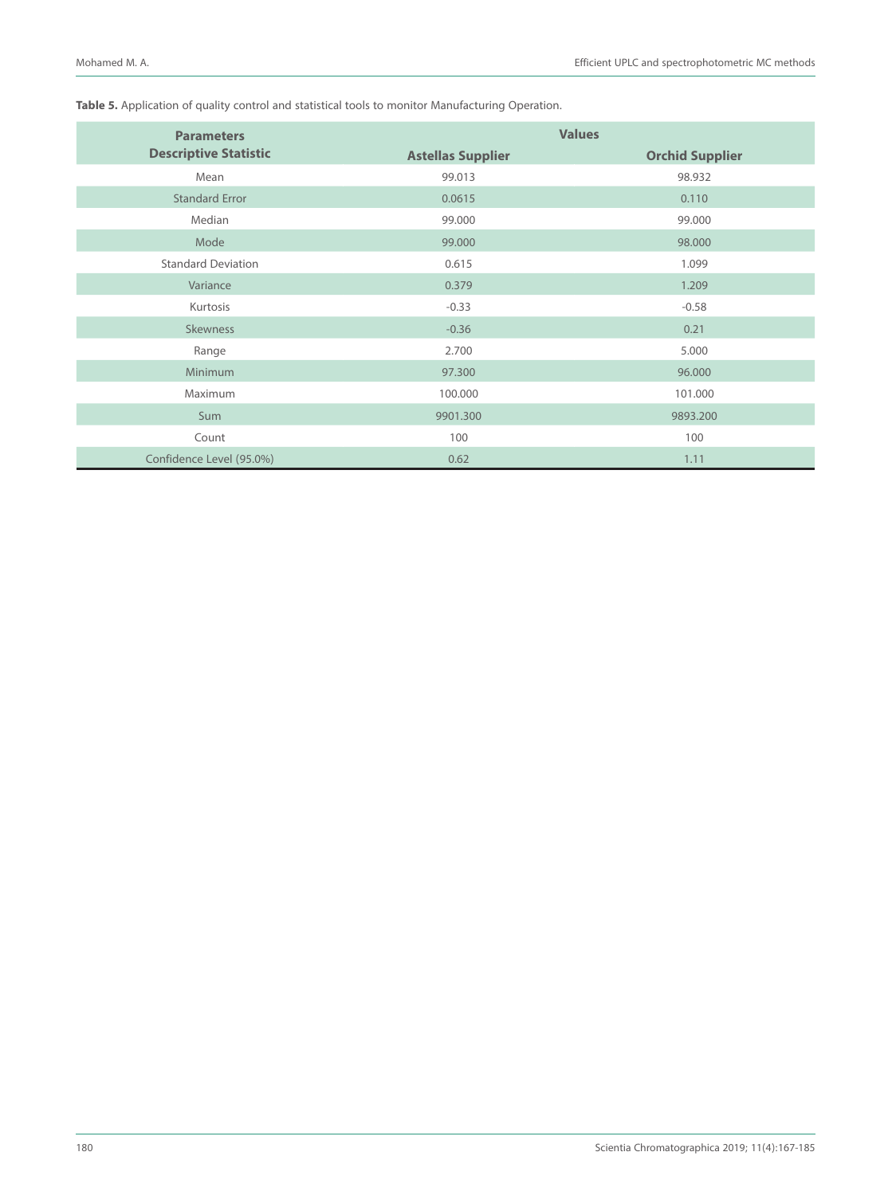# **Table 5.** Application of quality control and statistical tools to monitor Manufacturing Operation.

| <b>Parameters</b>            | <b>Values</b>            |                        |  |
|------------------------------|--------------------------|------------------------|--|
| <b>Descriptive Statistic</b> | <b>Astellas Supplier</b> | <b>Orchid Supplier</b> |  |
| Mean                         | 99.013                   | 98.932                 |  |
| <b>Standard Error</b>        | 0.0615                   | 0.110                  |  |
| Median                       | 99.000                   | 99.000                 |  |
| Mode                         | 99.000                   | 98.000                 |  |
| <b>Standard Deviation</b>    | 0.615                    | 1.099                  |  |
| Variance                     | 0.379                    | 1.209                  |  |
| Kurtosis                     | $-0.33$                  | $-0.58$                |  |
| <b>Skewness</b>              | $-0.36$                  | 0.21                   |  |
| Range                        | 2.700                    | 5.000                  |  |
| Minimum                      | 97.300                   | 96.000                 |  |
| Maximum                      | 100.000                  | 101.000                |  |
| Sum                          | 9901.300                 | 9893.200               |  |
| Count                        | 100                      | 100                    |  |
| Confidence Level (95.0%)     | 0.62                     | 1.11                   |  |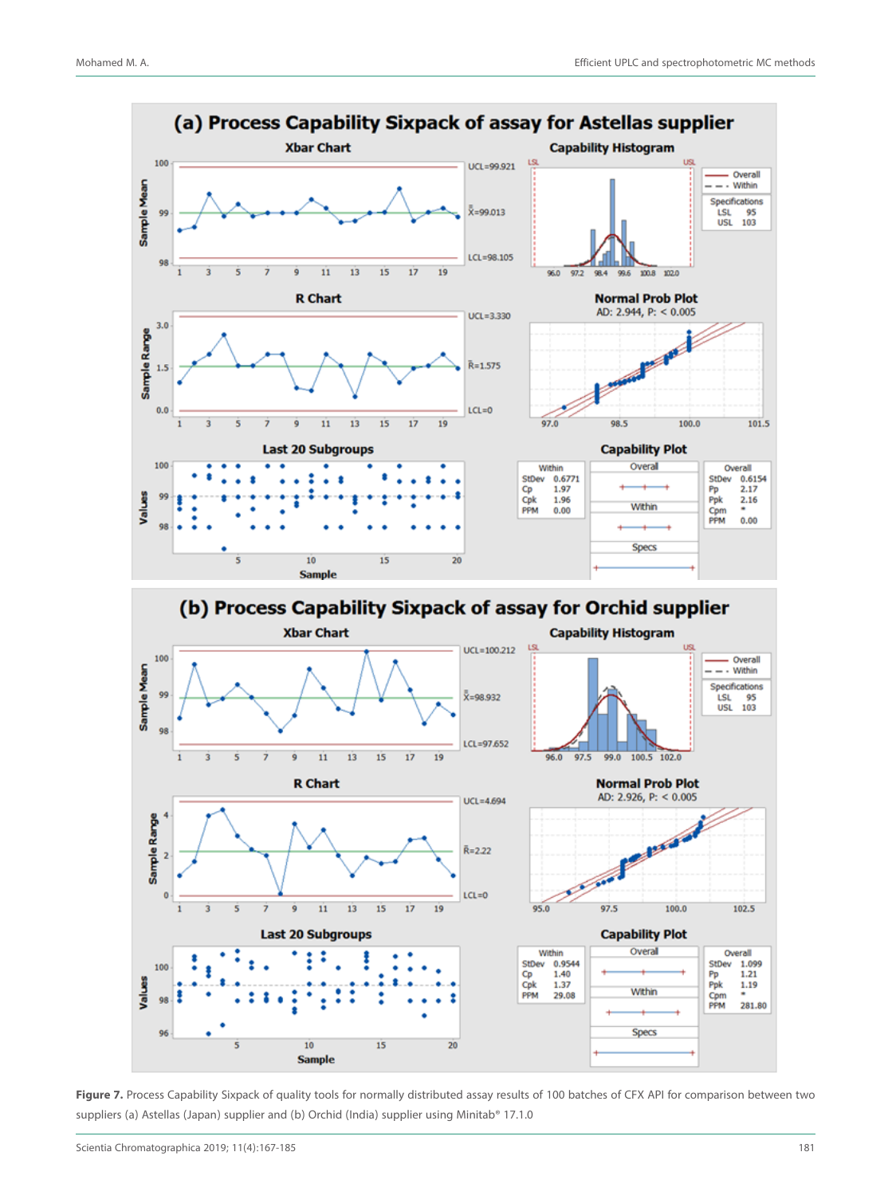

Figure 7. Process Capability Sixpack of quality tools for normally distributed assay results of 100 batches of CFX API for comparison between two suppliers (a) Astellas (Japan) supplier and (b) Orchid (India) supplier using Minitab® 17.1.0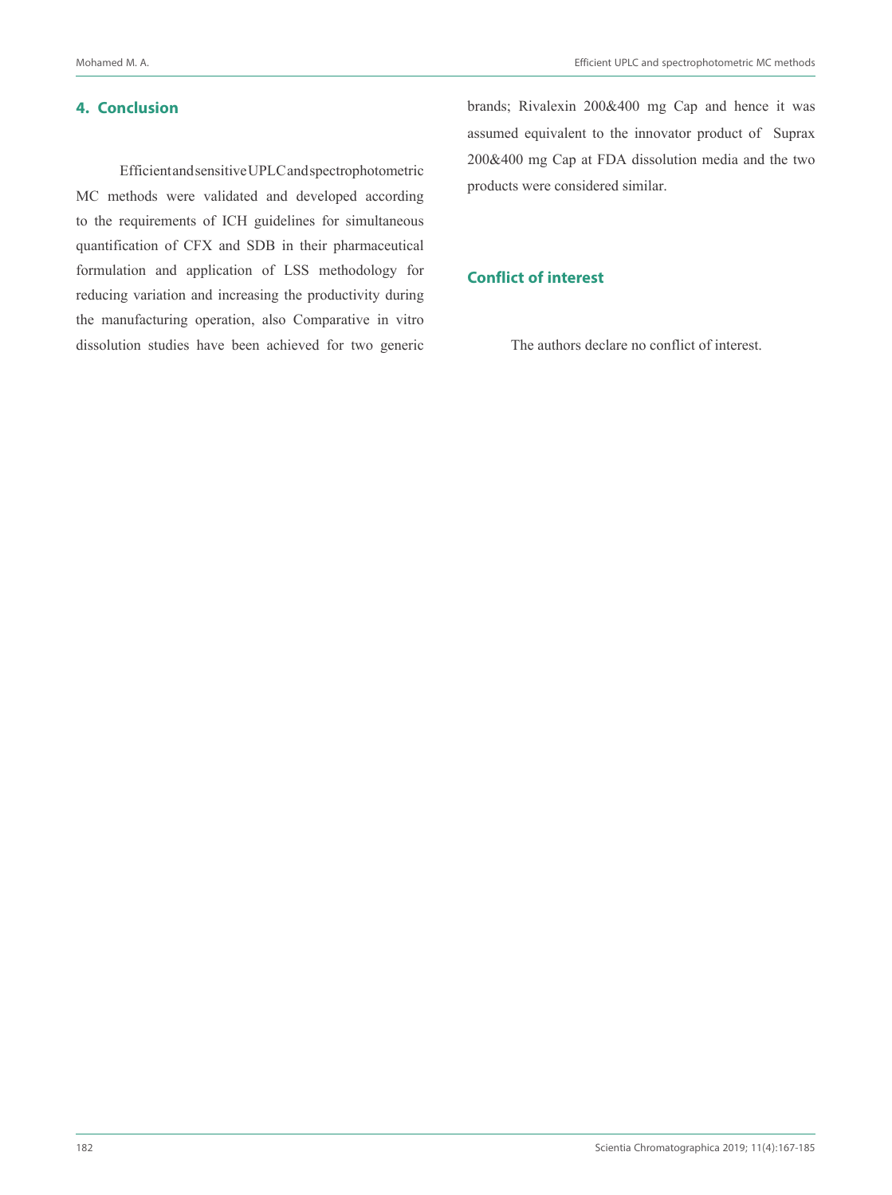# **4. Conclusion**

Efficient and sensitive UPLC and spectrophotometric MC methods were validated and developed according to the requirements of ICH guidelines for simultaneous quantification of CFX and SDB in their pharmaceutical formulation and application of LSS methodology for reducing variation and increasing the productivity during the manufacturing operation, also Comparative in vitro dissolution studies have been achieved for two generic brands; Rivalexin 200&400 mg Cap and hence it was assumed equivalent to the innovator product of Suprax 200&400 mg Cap at FDA dissolution media and the two products were considered similar.

# **Conflict of interest**

The authors declare no conflict of interest.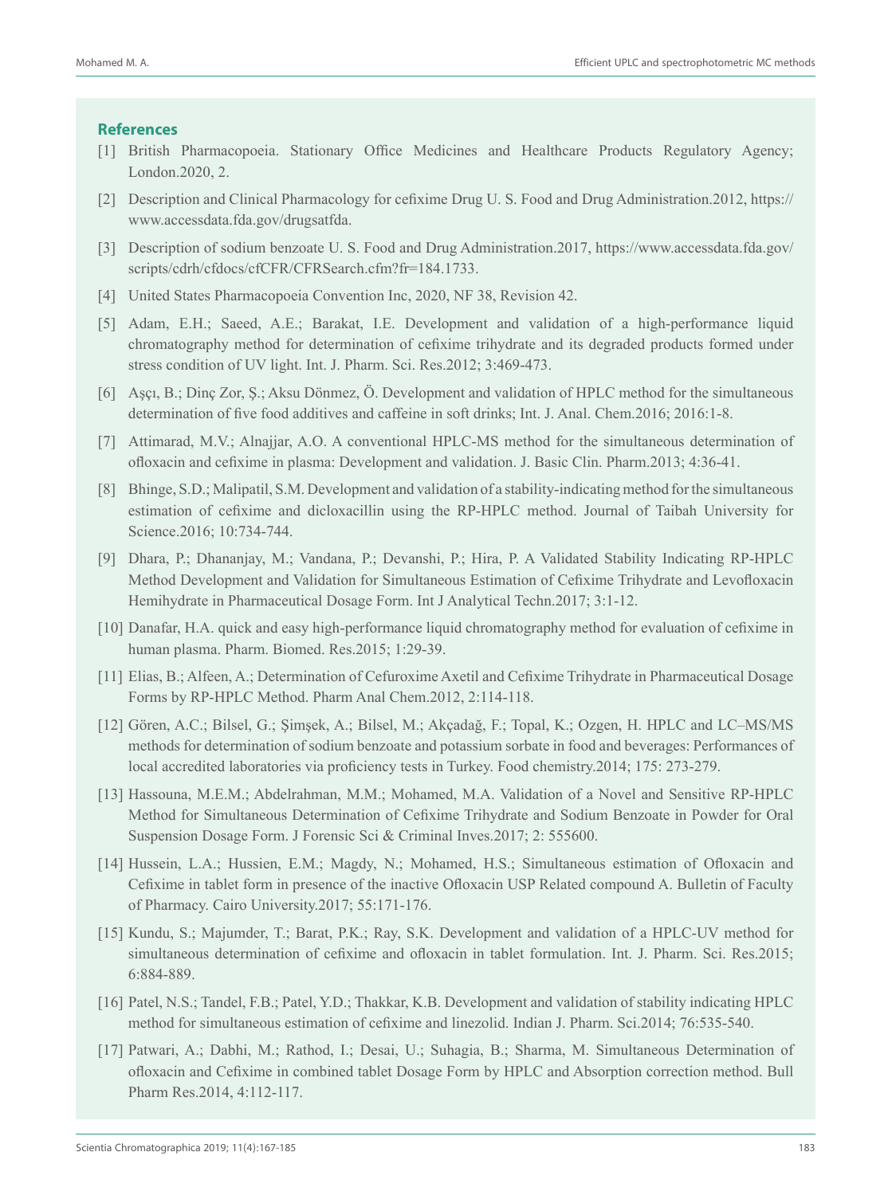# **References**

- [1] British Pharmacopoeia. Stationary Office Medicines and Healthcare Products Regulatory Agency; London.2020, 2.
- [2] Description and Clinical Pharmacology for cefixime Drug U. S. Food and Drug Administration.2012, https:// www.accessdata.fda.gov/drugsatfda.
- [3] Description of sodium benzoate U. S. Food and Drug Administration.2017, https://www.accessdata.fda.gov/ scripts/cdrh/cfdocs/cfCFR/CFRSearch.cfm?fr=184.1733.
- [4] United States Pharmacopoeia Convention Inc, 2020, NF 38, Revision 42.
- [5] Adam, E.H.; Saeed, A.E.; Barakat, I.E. Development and validation of a high-performance liquid chromatography method for determination of cefixime trihydrate and its degraded products formed under stress condition of UV light. Int. J. Pharm. Sci. Res.2012; 3:469-473.
- [6] Aşçı, B.; Dinç Zor, Ş.; Aksu Dönmez, Ö. Development and validation of HPLC method for the simultaneous determination of five food additives and caffeine in soft drinks; Int. J. Anal. Chem.2016; 2016:1-8.
- [7] Attimarad, M.V.; Alnajjar, A.O. A conventional HPLC-MS method for the simultaneous determination of ofloxacin and cefixime in plasma: Development and validation. J. Basic Clin. Pharm.2013; 4:36-41.
- [8] Bhinge, S.D.; Malipatil, S.M. Development and validation of a stability-indicating method for the simultaneous estimation of cefixime and dicloxacillin using the RP-HPLC method. Journal of Taibah University for Science.2016; 10:734-744.
- [9] Dhara, P.; Dhananjay, M.; Vandana, P.; Devanshi, P.; Hira, P. A Validated Stability Indicating RP-HPLC Method Development and Validation for Simultaneous Estimation of Cefixime Trihydrate and Levofloxacin Hemihydrate in Pharmaceutical Dosage Form. Int J Analytical Techn.2017; 3:1-12.
- [10] Danafar, H.A. quick and easy high-performance liquid chromatography method for evaluation of cefixime in human plasma. Pharm. Biomed. Res.2015; 1:29-39.
- [11] Elias, B.; Alfeen, A.; Determination of Cefuroxime Axetil and Cefixime Trihydrate in Pharmaceutical Dosage Forms by RP-HPLC Method. Pharm Anal Chem.2012, 2:114-118.
- [12] Gören, A.C.; Bilsel, G.; Şimşek, A.; Bilsel, M.; Akçadağ, F.; Topal, K.; Ozgen, H. HPLC and LC–MS/MS methods for determination of sodium benzoate and potassium sorbate in food and beverages: Performances of local accredited laboratories via proficiency tests in Turkey. Food chemistry.2014; 175: 273-279.
- [13] Hassouna, M.E.M.; Abdelrahman, M.M.; Mohamed, M.A. Validation of a Novel and Sensitive RP-HPLC Method for Simultaneous Determination of Cefixime Trihydrate and Sodium Benzoate in Powder for Oral Suspension Dosage Form. J Forensic Sci & Criminal Inves.2017; 2: 555600.
- [14] Hussein, L.A.; Hussien, E.M.; Magdy, N.; Mohamed, H.S.; Simultaneous estimation of Ofloxacin and Cefixime in tablet form in presence of the inactive Ofloxacin USP Related compound A. Bulletin of Faculty of Pharmacy. Cairo University.2017; 55:171-176.
- [15] Kundu, S.; Majumder, T.; Barat, P.K.; Ray, S.K. Development and validation of a HPLC-UV method for simultaneous determination of cefixime and ofloxacin in tablet formulation. Int. J. Pharm. Sci. Res.2015; 6:884-889.
- [16] Patel, N.S.; Tandel, F.B.; Patel, Y.D.; Thakkar, K.B. Development and validation of stability indicating HPLC method for simultaneous estimation of cefixime and linezolid. Indian J. Pharm. Sci.2014; 76:535-540.
- [17] Patwari, A.; Dabhi, M.; Rathod, I.; Desai, U.; Suhagia, B.; Sharma, M. Simultaneous Determination of ofloxacin and Cefixime in combined tablet Dosage Form by HPLC and Absorption correction method. Bull Pharm Res.2014, 4:112-117.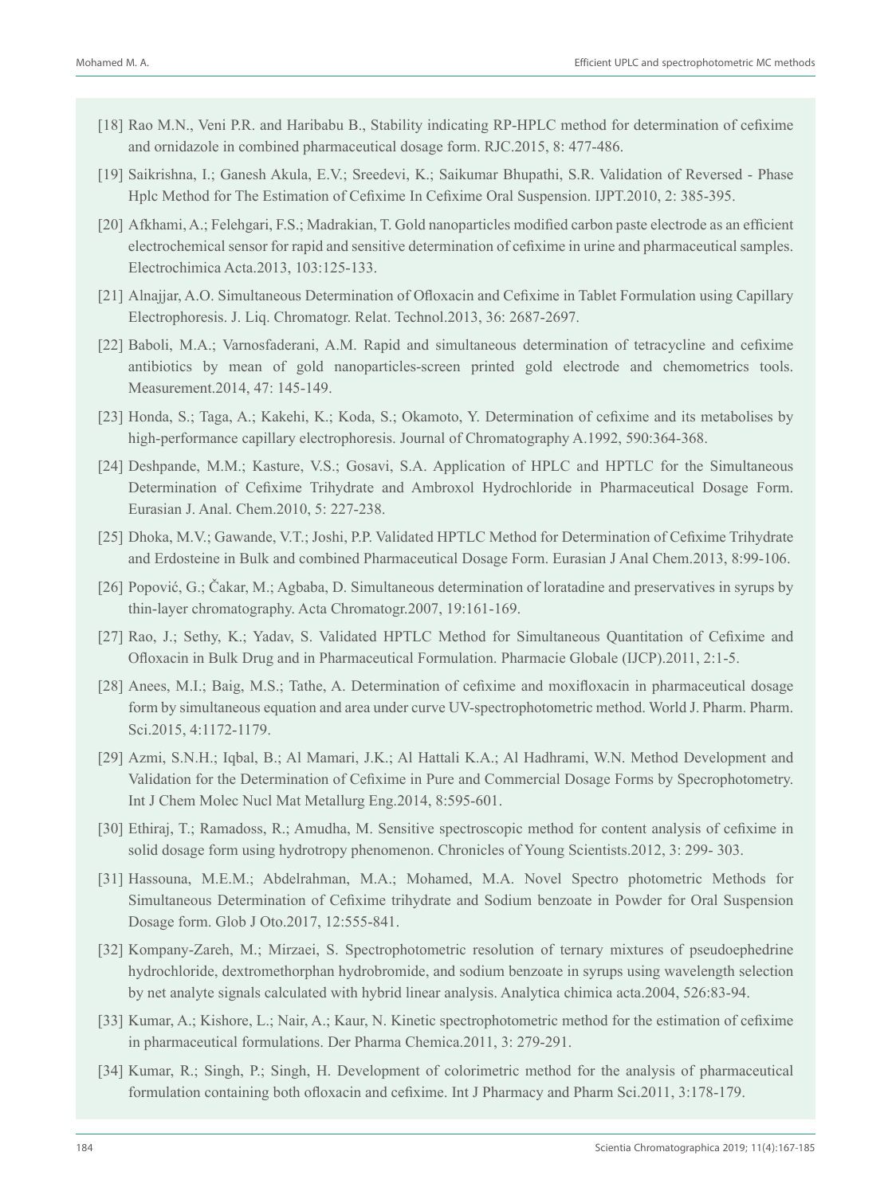- [18] Rao M.N., Veni P.R. and Haribabu B., Stability indicating RP-HPLC method for determination of cefixime and ornidazole in combined pharmaceutical dosage form. RJC.2015, 8: 477-486.
- [19] Saikrishna, I.; Ganesh Akula, E.V.; Sreedevi, K.; Saikumar Bhupathi, S.R. Validation of Reversed Phase Hplc Method for The Estimation of Cefixime In Cefixime Oral Suspension. IJPT.2010, 2: 385-395.
- [20] Afkhami, A.; Felehgari, F.S.; Madrakian, T. Gold nanoparticles modified carbon paste electrode as an efficient electrochemical sensor for rapid and sensitive determination of cefixime in urine and pharmaceutical samples. Electrochimica Acta.2013, 103:125-133.
- [21] Alnajjar, A.O. Simultaneous Determination of Ofloxacin and Cefixime in Tablet Formulation using Capillary Electrophoresis. J. Liq. Chromatogr. Relat. Technol.2013, 36: 2687-2697.
- [22] Baboli, M.A.; Varnosfaderani, A.M. Rapid and simultaneous determination of tetracycline and cefixime antibiotics by mean of gold nanoparticles-screen printed gold electrode and chemometrics tools. Measurement.2014, 47: 145-149.
- [23] Honda, S.; Taga, A.; Kakehi, K.; Koda, S.; Okamoto, Y. Determination of cefixime and its metabolises by high-performance capillary electrophoresis. Journal of Chromatography A.1992, 590:364-368.
- [24] Deshpande, M.M.; Kasture, V.S.; Gosavi, S.A. Application of HPLC and HPTLC for the Simultaneous Determination of Cefixime Trihydrate and Ambroxol Hydrochloride in Pharmaceutical Dosage Form. Eurasian J. Anal. Chem.2010, 5: 227-238.
- [25] Dhoka, M.V.; Gawande, V.T.; Joshi, P.P. Validated HPTLC Method for Determination of Cefixime Trihydrate and Erdosteine in Bulk and combined Pharmaceutical Dosage Form. Eurasian J Anal Chem.2013, 8:99-106.
- [26] Popović, G.; Čakar, M.; Agbaba, D. Simultaneous determination of loratadine and preservatives in syrups by thin-layer chromatography. Acta Chromatogr.2007, 19:161-169.
- [27] Rao, J.; Sethy, K.; Yadav, S. Validated HPTLC Method for Simultaneous Quantitation of Cefixime and Ofloxacin in Bulk Drug and in Pharmaceutical Formulation. Pharmacie Globale (IJCP).2011, 2:1-5.
- [28] Anees, M.I.; Baig, M.S.; Tathe, A. Determination of cefixime and moxifloxacin in pharmaceutical dosage form by simultaneous equation and area under curve UV-spectrophotometric method. World J. Pharm. Pharm. Sci.2015, 4:1172-1179.
- [29] Azmi, S.N.H.; Iqbal, B.; Al Mamari, J.K.; Al Hattali K.A.; Al Hadhrami, W.N. Method Development and Validation for the Determination of Cefixime in Pure and Commercial Dosage Forms by Specrophotometry. Int J Chem Molec Nucl Mat Metallurg Eng.2014, 8:595-601.
- [30] Ethiraj, T.; Ramadoss, R.; Amudha, M. Sensitive spectroscopic method for content analysis of cefixime in solid dosage form using hydrotropy phenomenon. Chronicles of Young Scientists.2012, 3: 299- 303.
- [31] Hassouna, M.E.M.; Abdelrahman, M.A.; Mohamed, M.A. Novel Spectro photometric Methods for Simultaneous Determination of Cefixime trihydrate and Sodium benzoate in Powder for Oral Suspension Dosage form. Glob J Oto.2017, 12:555-841.
- [32] Kompany-Zareh, M.; Mirzaei, S. Spectrophotometric resolution of ternary mixtures of pseudoephedrine hydrochloride, dextromethorphan hydrobromide, and sodium benzoate in syrups using wavelength selection by net analyte signals calculated with hybrid linear analysis. Analytica chimica acta.2004, 526:83-94.
- [33] Kumar, A.; Kishore, L.; Nair, A.; Kaur, N. Kinetic spectrophotometric method for the estimation of cefixime in pharmaceutical formulations. Der Pharma Chemica.2011, 3: 279-291.
- [34] Kumar, R.; Singh, P.; Singh, H. Development of colorimetric method for the analysis of pharmaceutical formulation containing both ofloxacin and cefixime. Int J Pharmacy and Pharm Sci.2011, 3:178-179.